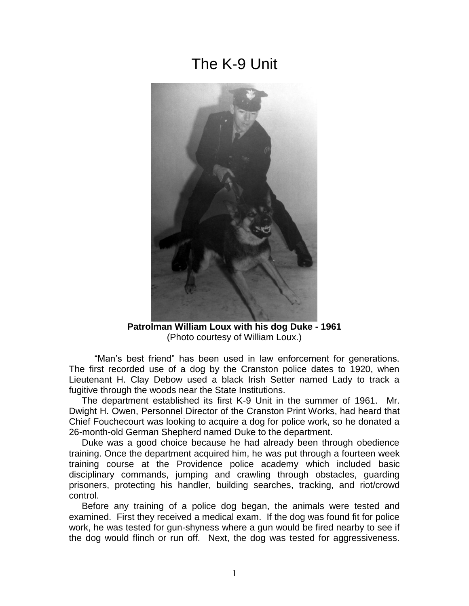## The K-9 Unit



**Patrolman William Loux with his dog Duke - 1961** (Photo courtesy of William Loux.)

 "Man's best friend" has been used in law enforcement for generations. The first recorded use of a dog by the Cranston police dates to 1920, when Lieutenant H. Clay Debow used a black Irish Setter named Lady to track a fugitive through the woods near the State Institutions.

 The department established its first K-9 Unit in the summer of 1961. Mr. Dwight H. Owen, Personnel Director of the Cranston Print Works, had heard that Chief Fouchecourt was looking to acquire a dog for police work, so he donated a 26-month-old German Shepherd named Duke to the department.

 Duke was a good choice because he had already been through obedience training. Once the department acquired him, he was put through a fourteen week training course at the Providence police academy which included basic disciplinary commands, jumping and crawling through obstacles, guarding prisoners, protecting his handler, building searches, tracking, and riot/crowd control.

 Before any training of a police dog began, the animals were tested and examined. First they received a medical exam. If the dog was found fit for police work, he was tested for gun-shyness where a gun would be fired nearby to see if the dog would flinch or run off. Next, the dog was tested for aggressiveness.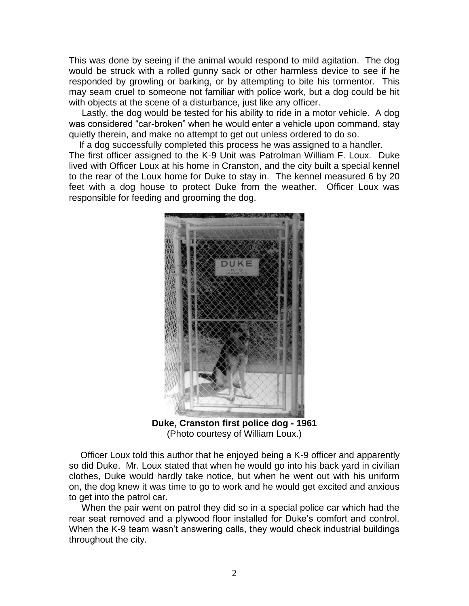This was done by seeing if the animal would respond to mild agitation. The dog would be struck with a rolled gunny sack or other harmless device to see if he responded by growling or barking, or by attempting to bite his tormentor. This may seam cruel to someone not familiar with police work, but a dog could be hit with objects at the scene of a disturbance, just like any officer.

 Lastly, the dog would be tested for his ability to ride in a motor vehicle. A dog was considered "car-broken" when he would enter a vehicle upon command, stay quietly therein, and make no attempt to get out unless ordered to do so.

 If a dog successfully completed this process he was assigned to a handler. The first officer assigned to the K-9 Unit was Patrolman William F. Loux. Duke lived with Officer Loux at his home in Cranston, and the city built a special kennel to the rear of the Loux home for Duke to stay in. The kennel measured 6 by 20 feet with a dog house to protect Duke from the weather. Officer Loux was responsible for feeding and grooming the dog.



**Duke, Cranston first police dog - 1961**  (Photo courtesy of William Loux.)

 Officer Loux told this author that he enjoyed being a K-9 officer and apparently so did Duke. Mr. Loux stated that when he would go into his back yard in civilian clothes, Duke would hardly take notice, but when he went out with his uniform on, the dog knew it was time to go to work and he would get excited and anxious to get into the patrol car.

 When the pair went on patrol they did so in a special police car which had the rear seat removed and a plywood floor installed for Duke's comfort and control. When the K-9 team wasn't answering calls, they would check industrial buildings throughout the city.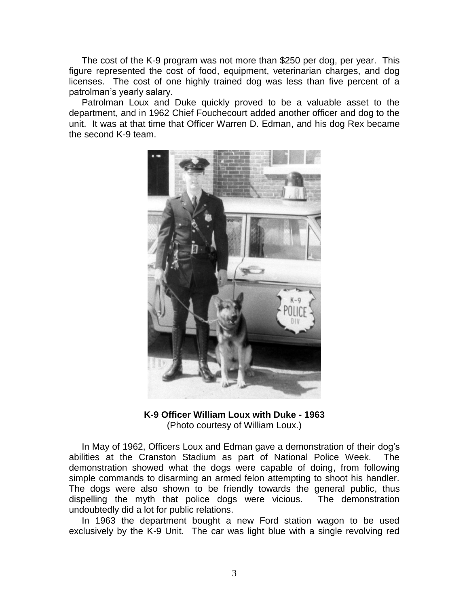The cost of the K-9 program was not more than \$250 per dog, per year. This figure represented the cost of food, equipment, veterinarian charges, and dog licenses. The cost of one highly trained dog was less than five percent of a patrolman's yearly salary.

 Patrolman Loux and Duke quickly proved to be a valuable asset to the department, and in 1962 Chief Fouchecourt added another officer and dog to the unit. It was at that time that Officer Warren D. Edman, and his dog Rex became the second K-9 team.



## **K-9 Officer William Loux with Duke - 1963** (Photo courtesy of William Loux.)

 In May of 1962, Officers Loux and Edman gave a demonstration of their dog's abilities at the Cranston Stadium as part of National Police Week. The demonstration showed what the dogs were capable of doing, from following simple commands to disarming an armed felon attempting to shoot his handler. The dogs were also shown to be friendly towards the general public, thus dispelling the myth that police dogs were vicious. The demonstration undoubtedly did a lot for public relations.

 In 1963 the department bought a new Ford station wagon to be used exclusively by the K-9 Unit. The car was light blue with a single revolving red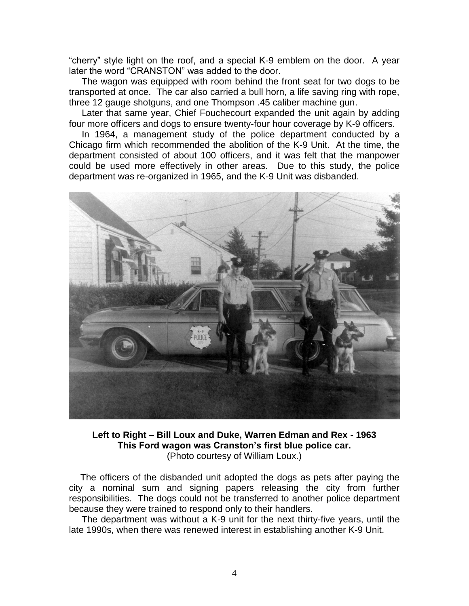"cherry" style light on the roof, and a special K-9 emblem on the door. A year later the word "CRANSTON" was added to the door.

 The wagon was equipped with room behind the front seat for two dogs to be transported at once. The car also carried a bull horn, a life saving ring with rope, three 12 gauge shotguns, and one Thompson .45 caliber machine gun.

 Later that same year, Chief Fouchecourt expanded the unit again by adding four more officers and dogs to ensure twenty-four hour coverage by K-9 officers.

 In 1964, a management study of the police department conducted by a Chicago firm which recommended the abolition of the K-9 Unit. At the time, the department consisted of about 100 officers, and it was felt that the manpower could be used more effectively in other areas. Due to this study, the police department was re-organized in 1965, and the K-9 Unit was disbanded.



**Left to Right – Bill Loux and Duke, Warren Edman and Rex - 1963 This Ford wagon was Cranston's first blue police car.** (Photo courtesy of William Loux.)

 The officers of the disbanded unit adopted the dogs as pets after paying the city a nominal sum and signing papers releasing the city from further responsibilities. The dogs could not be transferred to another police department because they were trained to respond only to their handlers.

 The department was without a K-9 unit for the next thirty-five years, until the late 1990s, when there was renewed interest in establishing another K-9 Unit.